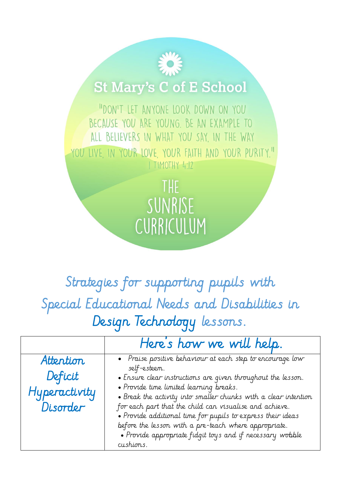## **St Mary's C of E School**

"DON'T LET ANYONE LOOK DOWN ON YOU BECAUSE YOU ARE YOUNG. BE AN EXAMPLE TO ALL BELIEVERS IN WHAT YOU SAY, IN THE WAY YOU LIVE IN YOUR LOVE YOUR FAITH AND YOUR PURITY." I TIMOTHY 4:12

> THE SUNRISE CURRICULUM

Strategies for supporting pupils with Special Educational Needs and Disabilities in Design Technology lessons.

|               | Here's how we will help.                                                                                                   |
|---------------|----------------------------------------------------------------------------------------------------------------------------|
| Attention     | • Praise positive behaviour at each step to encourage low                                                                  |
| Deficit       | self-esteem.<br>• Ensure clear instructions are given throughout the lesson.                                               |
| Hyperactivity | · Provide time limited learning breaks.                                                                                    |
| Disorder      | • Break the activity into smaller chunks with a clear intention<br>for each part that the child can visualise and achieve. |
|               | • Provide additional time for pupils to express their ideas                                                                |
|               | before the lesson with a pre-teach where appropriate.                                                                      |
|               | • Provide appropriate fidgit toys and if necessary wobble                                                                  |
|               | cushions.                                                                                                                  |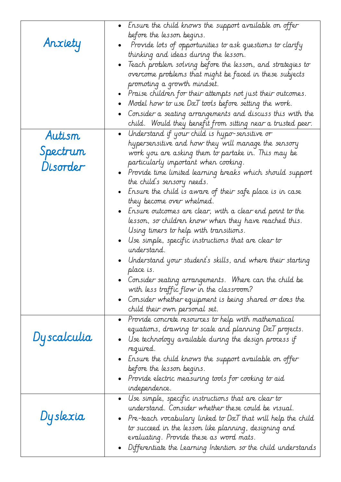|             | $\bullet$ Ensure the child knows the support available on offer                   |
|-------------|-----------------------------------------------------------------------------------|
|             | before the lesson begins.                                                         |
| Anxiety     | Provide lots of opportunities to ask questions to clarify                         |
|             | thinking and ideas during the lesson.                                             |
|             | Teach problem solving before the lesson, and strategies to                        |
|             | overcome problems that might be faced in these subjects                           |
|             | promoting a growth mindset.                                                       |
|             | • Praise children for their attempts not just their outcomes.                     |
|             | Model how to use DxT tools before setting the work.                               |
|             | Consider a seating arrangements and discuss this with the                         |
|             | child. Would they benefit from sitting near a trusted peer.                       |
| Autism      | • Understand if your child is hypo-sensitive or                                   |
|             | hypersensitive and how they will manage the sensory                               |
| Spectrum    | work you are asking them to partake in. This may be                               |
| Disorder    | particularly important when cooking.                                              |
|             | $\bullet$ Provide time limited learning breaks which should support               |
|             | the child's sensory needs.                                                        |
|             | - $\epsilon$ Ensure the child is aware of their safe place is in case             |
|             | they become over whelmed.                                                         |
|             | $\bullet$ Ensure outcomes are clear, with a clear end point to the                |
|             | lesson, so children know when they have reached this.                             |
|             | Using timers to help with transitions.                                            |
|             | $\bullet$ Use simple, specific instructions that are clear to                     |
|             | understand.                                                                       |
|             | $\bullet$ Understand your student's skills, and where their starting<br>place is. |
|             | Consider seating arrangements. Where can the child be                             |
|             | with less traffic flow in the classroom?                                          |
|             | • Consider whether equipment is being shared or does the $\,$                     |
|             | child their own personal set.                                                     |
|             | Provide concrete resources to help with mathematical                              |
|             | equations, drawing to scale and planning DxT projects.                            |
| Dyscalculia | Use technology available during the design process if                             |
|             | required.                                                                         |
|             | $\bullet$ Ensure the child knows the support available on offer                   |
|             | before the lesson begins.                                                         |
|             | • Provide electric measuring tools for cooking to aid                             |
|             | independence.                                                                     |
|             | Use simple, specific instructions that are clear to                               |
|             | understand. Consider whether these could be visual.                               |
| Dyslexia    | • Pre-teach vocabulary linked to DxT that will help the child                     |
|             | to succeed in the lesson like planning, designing and                             |
|             | evaluating. Provide these as word mats.                                           |
|             | Differentiate the Learning Intention so the child understands                     |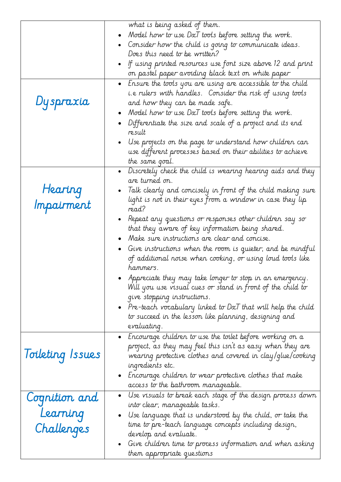|                  | what is being asked of them.                                                                             |
|------------------|----------------------------------------------------------------------------------------------------------|
|                  | Model how to use DxT tools before setting the work.                                                      |
|                  | Consider how the child is going to communicate ideas.                                                    |
|                  | Does this need to be written?                                                                            |
|                  | If using printed resources use font size above 12 and print                                              |
|                  | on pastel paper avoiding black text on white paper                                                       |
|                  | • Ensure the tools you are using are accessible to the child                                             |
|                  | i.e rulers with handles. Consider the risk of using tools                                                |
| Dyspraxia        | and how they can be made safe.                                                                           |
|                  | Model how to use DxT tools before setting the work.                                                      |
|                  | Differentiate the size and scale of a project and its end                                                |
|                  | result                                                                                                   |
|                  | Use projects on the page to understand how children can                                                  |
|                  | use different processes based on their abilities to achieve                                              |
|                  | the same goal.                                                                                           |
|                  | Discretely check the child is wearing hearing aids and they<br>$\bullet$                                 |
|                  | are turned on.                                                                                           |
| Hearing          | Talk clearly and concisely in front of the child making sure                                             |
|                  | light is not in their eyes from a window in case they lip                                                |
| Impairment       | read?                                                                                                    |
|                  | Repeat any questions or responses other children say so                                                  |
|                  | that they aware of key information being shared.                                                         |
|                  | Make sure instructions are clear and concise.                                                            |
|                  | Give instructions when the room is quieter, and be mindful                                               |
|                  | of additional noise when cooking, or using loud tools like                                               |
|                  | hammers.                                                                                                 |
|                  | Appreciate they may take longer to stop in an emergency.                                                 |
|                  | Will you use visual cues or stand in front of the child to                                               |
|                  | give stopping instructions.                                                                              |
|                  | Pre-teach vocabulary linked to DxT that will help the child                                              |
|                  | to succeed in the lesson like planning, designing and                                                    |
|                  | evaluating.                                                                                              |
|                  | • Encourage children to use the toilet before working on a                                               |
|                  | project, as they may feel this isn't as easy when they are                                               |
| Toileting Issues | wearing protective clothes and covered in clay/glue/cooking                                              |
|                  | ingredients etc.                                                                                         |
|                  | - Encourage children to wear protective clothes that make                                                |
|                  | access to the bathroom manageable.                                                                       |
| Cognition and    | Use visuals to break each stage of the design process down<br>$\bullet$<br>into clear, manageable tasks. |
| Learning         | Use language that is understood by the child, or take the                                                |
|                  | time to pre-teach language concepts including design,                                                    |
| Challenges       | develop and evaluate.                                                                                    |
|                  | Give children time to process information and when asking<br>٠                                           |
|                  | them appropriate questions                                                                               |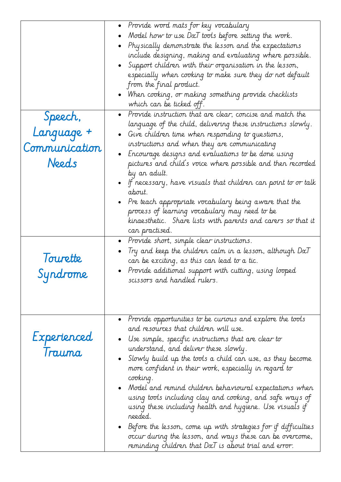| Speech,<br>Language +<br>Communication<br>Needs | • Provide word mats for key vocabulary<br>Model how to use DxT tools before setting the work.<br>• Physically demonstrate the lesson and the expectations<br>include designing, making and evaluating where possible.<br>Support children with their organisation in the lesson,<br>especially when cooking to make sure they do not default<br>from the final product.<br>• When cooking, or making something provide checklists<br>which can be ticked off.<br>• Provide instruction that are clear, concise and match the<br>language of the child, delivering these instructions slowly.<br>• Give children time when responding to questions,<br>instructions and when they are communicating<br>• Encourage designs and evaluations to be done using<br>pictures and child's voice where possible and then recorded<br>by an adult.<br>• If necessary, have visuals that children can point to or talk<br>about.<br>• Pre teach appropriate vocabulary being aware that the<br>process of learning vocabulary may need to be |
|-------------------------------------------------|------------------------------------------------------------------------------------------------------------------------------------------------------------------------------------------------------------------------------------------------------------------------------------------------------------------------------------------------------------------------------------------------------------------------------------------------------------------------------------------------------------------------------------------------------------------------------------------------------------------------------------------------------------------------------------------------------------------------------------------------------------------------------------------------------------------------------------------------------------------------------------------------------------------------------------------------------------------------------------------------------------------------------------|
| lourette<br>Syndrome                            | kinaesthetic. Share lists with parents and carers so that it<br>can practised.<br>• Provide short, simple clear instructions.<br>Try and keep the children calm in a lesson, although DxT<br>can be exciting, as this can lead to a tic.<br>Provide additional support with cutting, using looped<br>scissors and handled rulers.                                                                                                                                                                                                                                                                                                                                                                                                                                                                                                                                                                                                                                                                                                  |
| Experienced<br>Trauma                           | Provide opportunities to be curious and explore the tools<br>and resources that children will use.<br>Use simple, specific instructions that are clear to<br>understand, and deliver these slowly.<br>• Slowly build up the tools a child can use, as they become<br>more confident in their work, especially in regard to<br>cooking.<br>$\bullet$ Model and remind children behavioural expectations when<br>using tools including clay and cooking, and safe ways of<br>using these including health and hygiene. Use visuals if<br>reeded.<br>$\bullet$ Before the lesson, come up with strategies for if difficulties<br>occur during the lesson, and ways these can be overcome,<br>reminding children that $D\alpha T$ is about trial and error.                                                                                                                                                                                                                                                                            |